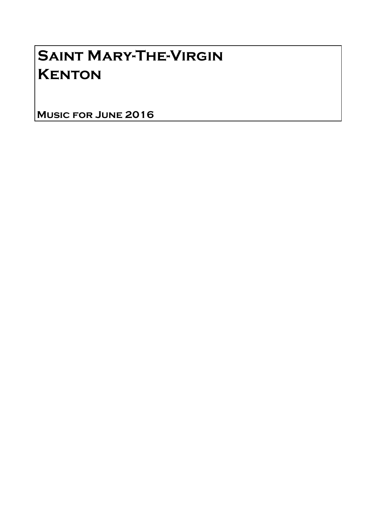## Saint Mary-The-Virgin **KENTON**

Music for June 2016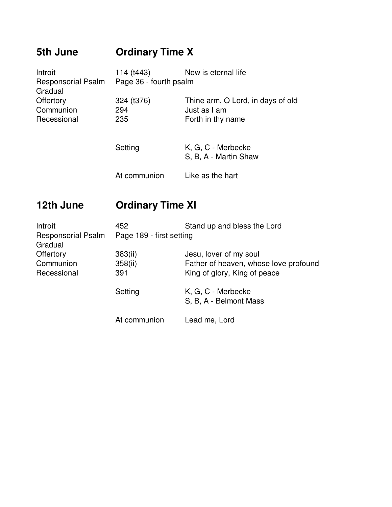## **5th June Ordinary Time X**

| Introit                   | 114 (t443)             | Now is eternal life               |  |
|---------------------------|------------------------|-----------------------------------|--|
| <b>Responsorial Psalm</b> | Page 36 - fourth psalm |                                   |  |
| Gradual                   |                        |                                   |  |
| Offertory                 | 324 (t376)             | Thine arm, O Lord, in days of old |  |
| Communion                 | 294                    | Just as I am                      |  |
| Recessional               | 235                    | Forth in thy name                 |  |
|                           |                        |                                   |  |
|                           |                        |                                   |  |

| Setting      | K, G, C - Merbecke<br>S, B, A - Martin Shaw |
|--------------|---------------------------------------------|
| At communion | Like as the hart                            |

## **12th June Ordinary Time XI**

| Introit<br><b>Responsorial Psalm</b><br>Gradual | Stand up and bless the Lord<br>452<br>Page 189 - first setting |                                                                                                 |
|-------------------------------------------------|----------------------------------------------------------------|-------------------------------------------------------------------------------------------------|
| Offertory<br>Communion<br>Recessional           | 383(ii)<br>358(ii)<br>391                                      | Jesu, lover of my soul<br>Father of heaven, whose love profound<br>King of glory, King of peace |
|                                                 | Setting                                                        | K, G, C - Merbecke<br>S, B, A - Belmont Mass                                                    |
|                                                 | At communion                                                   | Lead me, Lord                                                                                   |